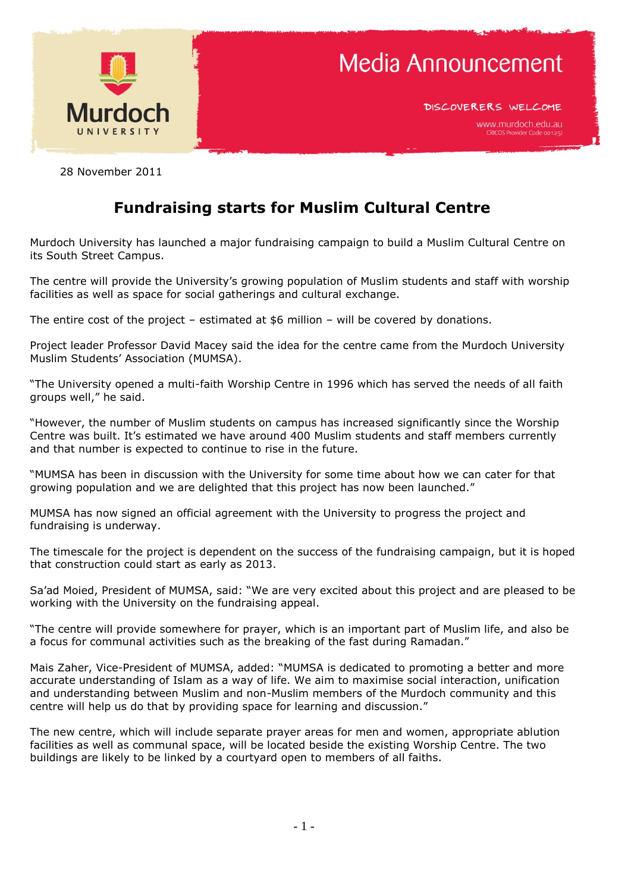

DISCOVERERS WELCOME

28 November 2011

## **Fundraising starts for Muslim Cultural Centre**

Murdoch University has launched a major fundraising campaign to build a Muslim Cultural Centre on its South Street Campus.

The centre will provide the University's growing population of Muslim students and staff with worship facilities as well as space for social gatherings and cultural exchange.

The entire cost of the project – estimated at \$6 million – will be covered by donations.

Project leader Professor David Macey said the idea for the centre came from the Murdoch University Muslim Students' Association (MUMSA).

"The University opened a multi-faith Worship Centre in 1996 which has served the needs of all faith groups well," he said.

"However, the number of Muslim students on campus has increased significantly since the Worship Centre was built. It's estimated we have around 400 Muslim students and staff members currently and that number is expected to continue to rise in the future.

"MUMSA has been in discussion with the University for some time about how we can cater for that growing population and we are delighted that this project has now been launched."

MUMSA has now signed an official agreement with the University to progress the project and fundraising is underway.

The timescale for the project is dependent on the success of the fundraising campaign, but it is hoped that construction could start as early as 2013.

Sa'ad Moied, President of MUMSA, said: "We are very excited about this project and are pleased to be working with the University on the fundraising appeal.

"The centre will provide somewhere for prayer, which is an important part of Muslim life, and also be a focus for communal activities such as the breaking of the fast during Ramadan."

Mais Zaher, Vice-President of MUMSA, added: "MUMSA is dedicated to promoting a better and more accurate understanding of Islam as a way of life. We aim to maximise social interaction, unification and understanding between Muslim and non-Muslim members of the Murdoch community and this centre will help us do that by providing space for learning and discussion."

The new centre, which will include separate prayer areas for men and women, appropriate ablution facilities as well as communal space, will be located beside the existing Worship Centre. The two buildings are likely to be linked by a courtyard open to members of all faiths.